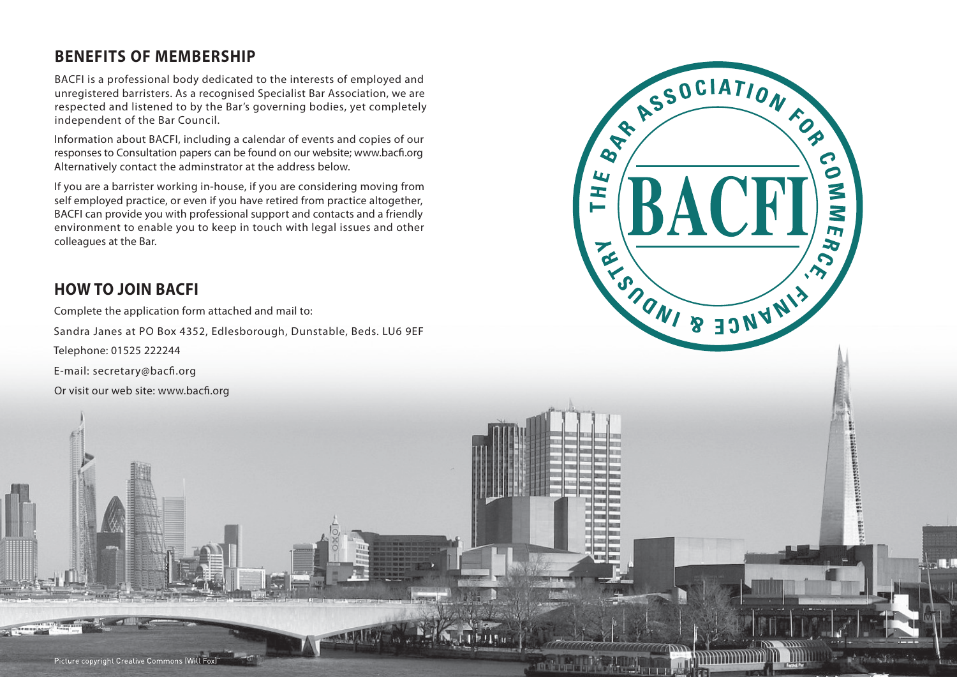### **BENEFITS OF MEMBERSHIP**

BACFI is a professional body dedicated to the interests of employed and unregistered barristers. As a recognised Specialist Bar Association, we are respected and listened to by the Bar's governing bodies, yet completely independent of the Bar Council.

RESOCIATION FOR

REACTION SERVICE RIVER

L

<u>—</u>

 $\mathbf{C}$  $\overline{\bullet}$ 

ζ

 $\mathbf{z}$  $\mathbf{L}$ 

 $\blacktriangleright$ 

Information about BACFI, including a calendar of events and copies of our responses to Consultation papers can be found on our website; www.bacfi.org Alternatively contact the adminstrator at the address below.

If you are a barrister working in-house, if you are considering moving from self employed practice, or even if you have retired from practice altogether, BACFI can provide you with professional support and contacts and a friendly environment to enable you to keep in touch with legal issues and other colleagues at the Bar.

# **HOW TO JOIN BACFI**

Complete the application form attached and mail to:

Sandra Janes at PO Box 4352, Edlesborough, Dunstable, Beds. LU6 9EF

Telephone: 01525 222244

E-mail: secretary@bacfi.org

Or visit our web site: www.bacfi.org